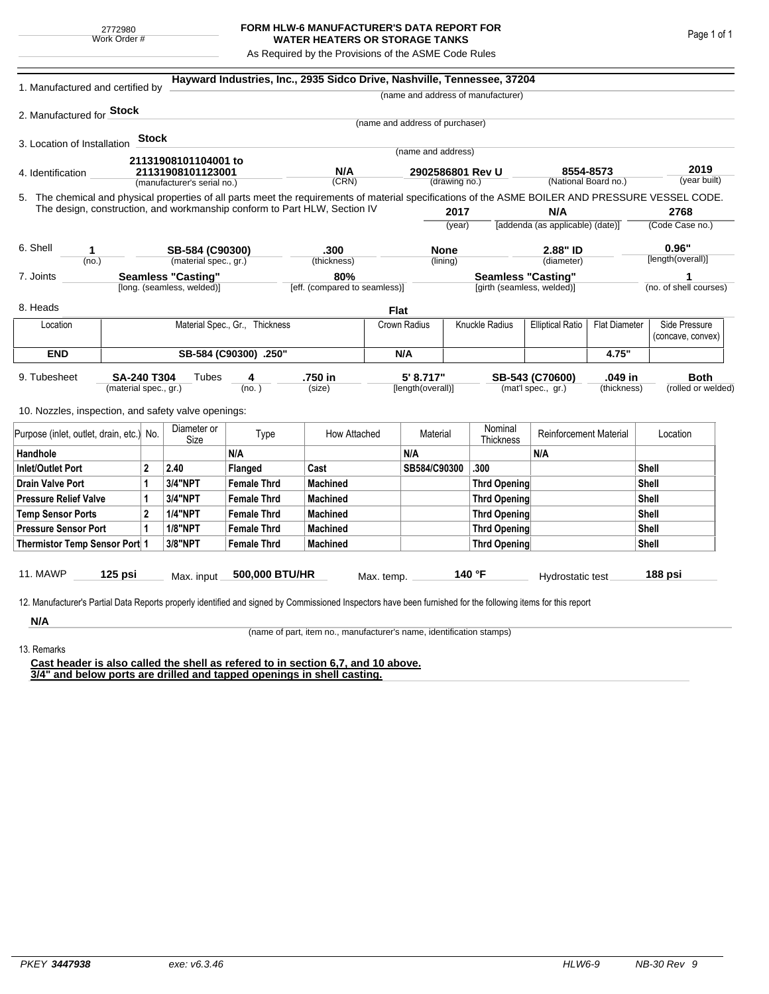## **FORM HLW-6 MANUFACTURER'S DATA REPORT FOR WATER HEATERS OR STORAGE TANKS**

As Required by the Provisions of the ASME Code Rules

| 1. Manufactured and certified by                                                                                                                                                                                                |                                |         |                                                  |                               | Hayward Industries, Inc., 2935 Sidco Drive, Nashville, Tennessee, 37204 |              |                                   |                     |                                    |                                                                 |                      |                        |                                    |  |
|---------------------------------------------------------------------------------------------------------------------------------------------------------------------------------------------------------------------------------|--------------------------------|---------|--------------------------------------------------|-------------------------------|-------------------------------------------------------------------------|--------------|-----------------------------------|---------------------|------------------------------------|-----------------------------------------------------------------|----------------------|------------------------|------------------------------------|--|
|                                                                                                                                                                                                                                 |                                |         |                                                  |                               |                                                                         |              |                                   |                     | (name and address of manufacturer) |                                                                 |                      |                        |                                    |  |
| 2. Manufactured for <b>Stock</b>                                                                                                                                                                                                |                                |         |                                                  |                               |                                                                         |              |                                   |                     |                                    |                                                                 |                      |                        |                                    |  |
|                                                                                                                                                                                                                                 |                                |         |                                                  |                               |                                                                         |              | (name and address of purchaser)   |                     |                                    |                                                                 |                      |                        |                                    |  |
| 3. Location of Installation                                                                                                                                                                                                     |                                | Stock   |                                                  |                               |                                                                         |              | (name and address)                |                     |                                    |                                                                 |                      |                        |                                    |  |
|                                                                                                                                                                                                                                 |                                |         | 21131908101104001 to                             |                               |                                                                         |              |                                   |                     |                                    |                                                                 |                      |                        |                                    |  |
| 4. Identification                                                                                                                                                                                                               |                                |         | 21131908101123001<br>(manufacturer's serial no.) |                               | N/A<br>(CRN)                                                            |              | 2902586801 Rev U<br>(drawing no.) |                     |                                    | 8554-8573<br>(National Board no.)                               |                      |                        | 2019<br>(year built)               |  |
|                                                                                                                                                                                                                                 |                                |         |                                                  |                               |                                                                         |              |                                   |                     |                                    |                                                                 |                      |                        |                                    |  |
| 5. The chemical and physical properties of all parts meet the requirements of material specifications of the ASME BOILER AND PRESSURE VESSEL CODE.<br>The design, construction, and workmanship conform to Part HLW, Section IV |                                |         |                                                  |                               |                                                                         |              |                                   | 2017                |                                    | N/A                                                             |                      | 2768                   |                                    |  |
|                                                                                                                                                                                                                                 |                                |         |                                                  |                               |                                                                         |              |                                   | (year)              |                                    | [addenda (as applicable) (date)]                                |                      |                        | (Code Case no.)                    |  |
| 6. Shell<br>1                                                                                                                                                                                                                   |                                |         | SB-584 (C90300)                                  |                               | .300                                                                    |              | <b>None</b>                       |                     | 2.88" ID                           |                                                                 |                      |                        | 0.96"                              |  |
| (no.)                                                                                                                                                                                                                           |                                |         |                                                  | (material spec., gr.)         | (thickness)                                                             |              | (lining)                          |                     | (diameter)                         |                                                                 |                      | [length(overall)]      |                                    |  |
| 7. Joints                                                                                                                                                                                                                       |                                |         | <b>Seamless "Casting"</b>                        |                               | 80%                                                                     |              |                                   |                     | <b>Seamless "Casting"</b>          |                                                                 |                      |                        |                                    |  |
| [long. (seamless, welded)]                                                                                                                                                                                                      |                                |         |                                                  | [eff. (compared to seamless)] |                                                                         |              | [girth (seamless, welded)]        |                     |                                    |                                                                 |                      | (no. of shell courses) |                                    |  |
| 8. Heads                                                                                                                                                                                                                        |                                |         |                                                  |                               |                                                                         | <b>Flat</b>  |                                   |                     |                                    |                                                                 |                      |                        |                                    |  |
| Location                                                                                                                                                                                                                        | Material Spec., Gr., Thickness |         |                                                  |                               |                                                                         |              | Crown Radius                      |                     | Knuckle Radius                     | <b>Elliptical Ratio</b>                                         | <b>Flat Diameter</b> |                        | Side Pressure<br>(concave, convex) |  |
| <b>END</b>                                                                                                                                                                                                                      | SB-584 (C90300) .250"          |         |                                                  |                               |                                                                         |              | N/A                               |                     |                                    |                                                                 | 4.75"                |                        |                                    |  |
| 9. Tubesheet<br><b>SA-240 T304</b><br>(material spec., gr.)                                                                                                                                                                     |                                |         | Tubes                                            | 4<br>(no. )                   | .750 in<br>(size)                                                       |              | 5' 8.717"<br>[length(overall)]    |                     |                                    | .049 in<br>SB-543 (C70600)<br>(mat'l spec., gr.)<br>(thickness) |                      |                        | <b>Both</b><br>(rolled or welded)  |  |
|                                                                                                                                                                                                                                 |                                |         |                                                  |                               |                                                                         |              |                                   |                     |                                    |                                                                 |                      |                        |                                    |  |
| 10. Nozzles, inspection, and safety valve openings:                                                                                                                                                                             |                                |         |                                                  |                               |                                                                         |              |                                   |                     |                                    |                                                                 |                      |                        |                                    |  |
| Purpose (inlet, outlet, drain, etc.) No.                                                                                                                                                                                        |                                |         | Diameter or<br>Size                              | Type                          | How Attached                                                            |              | Material                          |                     | Nominal<br>Thickness               | <b>Reinforcement Material</b>                                   |                      |                        | Location                           |  |
| Handhole                                                                                                                                                                                                                        |                                |         |                                                  | N/A                           |                                                                         |              | N/A                               |                     |                                    | N/A                                                             |                      |                        |                                    |  |
| $\overline{2}$<br><b>Inlet/Outlet Port</b>                                                                                                                                                                                      |                                | 2.40    | Flanged                                          | Cast                          |                                                                         | SB584/C90300 |                                   | .300                |                                    |                                                                 |                      | Shell                  |                                    |  |
| <b>Drain Valve Port</b><br>1                                                                                                                                                                                                    |                                |         | 3/4"NPT                                          | <b>Female Thrd</b>            | <b>Machined</b>                                                         |              |                                   |                     | <b>Thrd Opening</b>                |                                                                 |                      | Shell                  |                                    |  |
| <b>Pressure Relief Valve</b><br>1                                                                                                                                                                                               |                                | 3/4"NPT | <b>Female Thrd</b>                               | <b>Machined</b>               |                                                                         |              |                                   | <b>Thrd Opening</b> |                                    |                                                                 | Shell                |                        |                                    |  |
| $\overline{2}$<br><b>Temp Sensor Ports</b>                                                                                                                                                                                      |                                |         | <b>1/4"NPT</b>                                   | <b>Female Thrd</b>            | <b>Machined</b>                                                         |              |                                   | <b>Thrd Opening</b> |                                    |                                                                 |                      | Shell                  |                                    |  |
| <b>Pressure Sensor Port</b><br>1                                                                                                                                                                                                |                                |         | <b>1/8"NPT</b>                                   | <b>Female Thrd</b>            | <b>Machined</b>                                                         |              |                                   |                     | Thrd Opening                       |                                                                 | Shell                |                        |                                    |  |
| Thermistor Temp Sensor Port 1                                                                                                                                                                                                   |                                |         | 3/8"NPT                                          | <b>Female Thrd</b>            | <b>Machined</b>                                                         |              |                                   | Thrd Opening        |                                    |                                                                 |                      |                        | Shell                              |  |
| 11. MAWP                                                                                                                                                                                                                        | $125$ psi                      |         | Max. input                                       | 500,000 BTU/HR                |                                                                         | Max. temp.   |                                   |                     | 140 °F                             | Hydrostatic test                                                |                      |                        | 188 psi                            |  |
|                                                                                                                                                                                                                                 |                                |         |                                                  |                               |                                                                         |              |                                   |                     |                                    |                                                                 |                      |                        |                                    |  |
| 12. Manufacturer's Partial Data Reports properly identified and signed by Commissioned Inspectors have been furnished for the following items for this report                                                                   |                                |         |                                                  |                               |                                                                         |              |                                   |                     |                                    |                                                                 |                      |                        |                                    |  |
| N/A                                                                                                                                                                                                                             |                                |         |                                                  |                               |                                                                         |              |                                   |                     |                                    |                                                                 |                      |                        |                                    |  |

(name of part, item no., manufacturer's name, identification stamps)

13. Remarks

**Cast header is also called the shell as refered to in section 6,7, and 10 above. 3/4" and below ports are drilled and tapped openings in shell casting.**